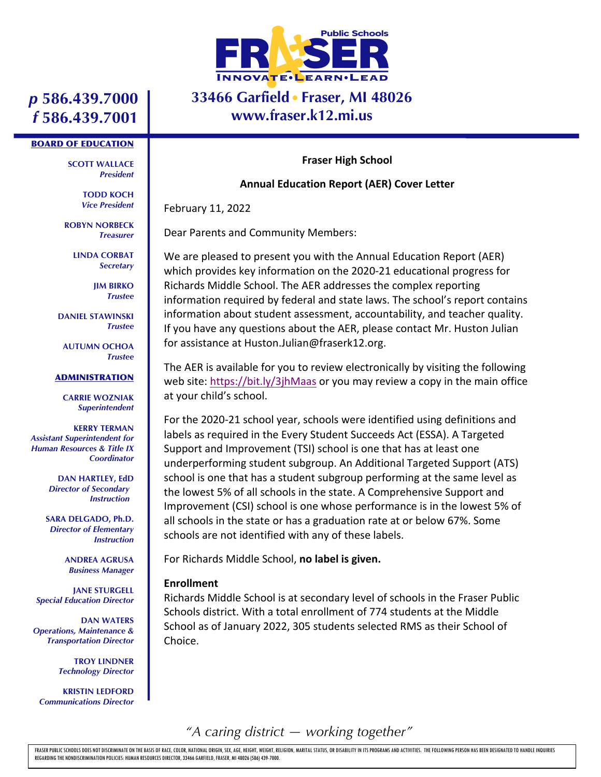

### **33466 Garfield Fraser, MI 48026 www.fraser.k12.mi.us**

## *p* **586.439.7000** *f* **586.439.7001**

#### BOARD OF EDUCATION

**SCOTT WALLACE** *President*

> **TODD KOCH** *Vice President*

**ROBYN NORBECK** *Treasurer*

> **LINDA CORBAT** *Secretary*

> > **JIM BIRKO** *Trustee*

**DANIEL STAWINSKI** *Trustee*

**AUTUMN OCHOA** *Trustee*

#### ADMINISTRATION

**CARRIE WOZNIAK** *Superintendent*

**KERRY TERMAN** *Assistant Superintendent for Human Resources & Title IX Coordinator*

> **DAN HARTLEY, EdD** *Director of Secondary Instruction*

**SARA DELGADO, Ph.D.** *Director of Elementary Instruction*

> **ANDREA AGRUSA** *Business Manager*

**JANE STURGELL** *Special Education Director*

**DAN WATERS** *Operations, Maintenance & Transportation Director*

> **TROY LINDNER** *Technology Director*

**KRISTIN LEDFORD** *Communications Director*

#### **Fraser High School**

### **Annual Education Report (AER) Cover Letter**

February 11, 2022

Dear Parents and Community Members:

We are pleased to present you with the Annual Education Report (AER) which provides key information on the 2020-21 educational progress for Richards Middle School. The AER addresses the complex reporting information required by federal and state laws. The school's report contains information about student assessment, accountability, and teacher quality. If you have any questions about the AER, please contact Mr. Huston Julian for assistance at Huston.Julian@fraserk12.org.

The AER is available for you to review electronically by visiting the following web site: https://bit.ly/3jhMaas or you may review a copy in the main office at your child's school.

For the 2020-21 school year, schools were identified using definitions and labels as required in the Every Student Succeeds Act (ESSA). A Targeted Support and Improvement (TSI) school is one that has at least one underperforming student subgroup. An Additional Targeted Support (ATS) school is one that has a student subgroup performing at the same level as the lowest 5% of all schools in the state. A Comprehensive Support and Improvement (CSI) school is one whose performance is in the lowest 5% of all schools in the state or has a graduation rate at or below 67%. Some schools are not identified with any of these labels.

For Richards Middle School, **no label is given.**

### **Enrollment**

Richards Middle School is at secondary level of schools in the Fraser Public Schools district. With a total enrollment of 774 students at the Middle School as of January 2022, 305 students selected RMS as their School of Choice.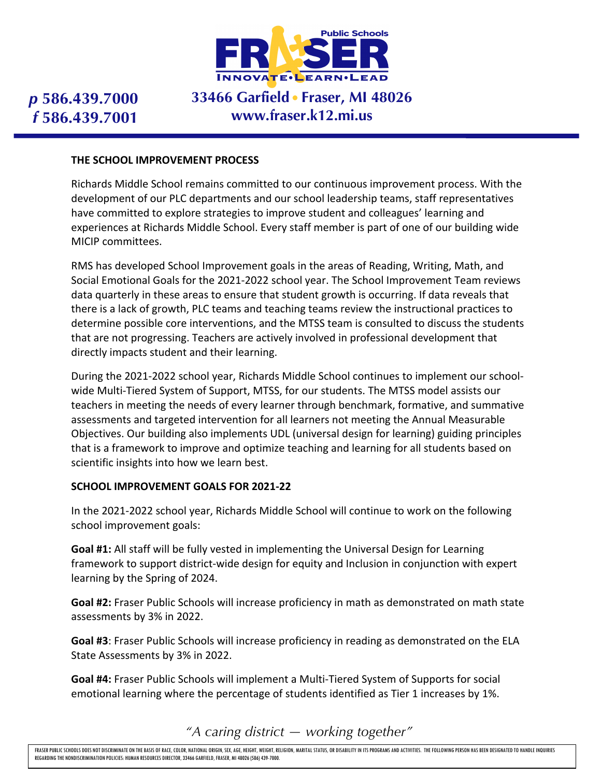

## **33466 Garfield Fraser, MI 48026 www.fraser.k12.mi.us**

### **THE SCHOOL IMPROVEMENT PROCESS**

Richards Middle School remains committed to our continuous improvement process. With the development of our PLC departments and our school leadership teams, staff representatives have committed to explore strategies to improve student and colleagues' learning and experiences at Richards Middle School. Every staff member is part of one of our building wide MICIP committees.

RMS has developed School Improvement goals in the areas of Reading, Writing, Math, and Social Emotional Goals for the 2021-2022 school year. The School Improvement Team reviews data quarterly in these areas to ensure that student growth is occurring. If data reveals that there is a lack of growth, PLC teams and teaching teams review the instructional practices to determine possible core interventions, and the MTSS team is consulted to discuss the students that are not progressing. Teachers are actively involved in professional development that directly impacts student and their learning.

During the 2021-2022 school year, Richards Middle School continues to implement our schoolwide Multi-Tiered System of Support, MTSS, for our students. The MTSS model assists our teachers in meeting the needs of every learner through benchmark, formative, and summative assessments and targeted intervention for all learners not meeting the Annual Measurable Objectives. Our building also implements UDL (universal design for learning) guiding principles that is a framework to improve and optimize teaching and learning for all students based on scientific insights into how we learn best.

### **SCHOOL IMPROVEMENT GOALS FOR 2021-22**

In the 2021-2022 school year, Richards Middle School will continue to work on the following school improvement goals:

**Goal #1:** All staff will be fully vested in implementing the Universal Design for Learning framework to support district-wide design for equity and Inclusion in conjunction with expert learning by the Spring of 2024.

**Goal #2:** Fraser Public Schools will increase proficiency in math as demonstrated on math state assessments by 3% in 2022.

**Goal #3**: Fraser Public Schools will increase proficiency in reading as demonstrated on the ELA State Assessments by 3% in 2022.

**Goal #4:** Fraser Public Schools will implement a Multi-Tiered System of Supports for social emotional learning where the percentage of students identified as Tier 1 increases by 1%.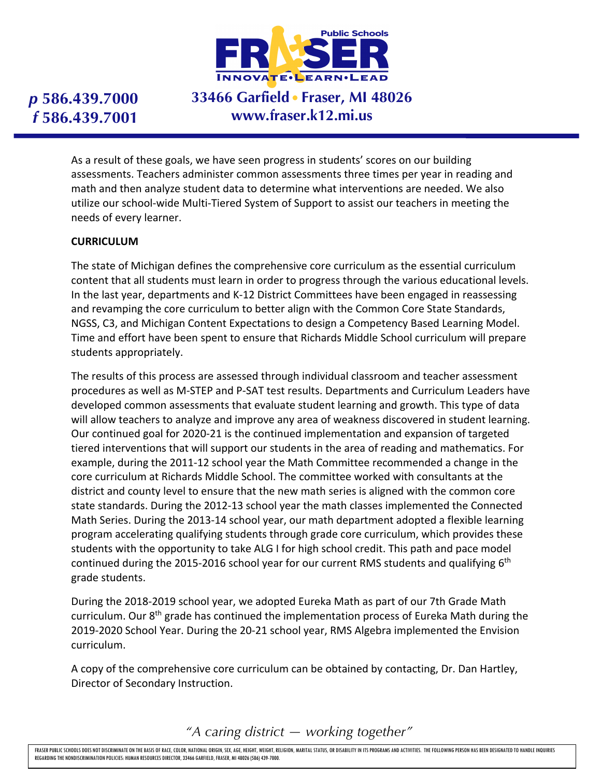

# **33466 Garfield Fraser, MI 48026 www.fraser.k12.mi.us**

As a result of these goals, we have seen progress in students' scores on our building assessments. Teachers administer common assessments three times per year in reading and math and then analyze student data to determine what interventions are needed. We also utilize our school-wide Multi-Tiered System of Support to assist our teachers in meeting the needs of every learner.

### **CURRICULUM**

The state of Michigan defines the comprehensive core curriculum as the essential curriculum content that all students must learn in order to progress through the various educational levels. In the last year, departments and K-12 District Committees have been engaged in reassessing and revamping the core curriculum to better align with the Common Core State Standards, NGSS, C3, and Michigan Content Expectations to design a Competency Based Learning Model. Time and effort have been spent to ensure that Richards Middle School curriculum will prepare students appropriately.

The results of this process are assessed through individual classroom and teacher assessment procedures as well as M-STEP and P-SAT test results. Departments and Curriculum Leaders have developed common assessments that evaluate student learning and growth. This type of data will allow teachers to analyze and improve any area of weakness discovered in student learning. Our continued goal for 2020-21 is the continued implementation and expansion of targeted tiered interventions that will support our students in the area of reading and mathematics. For example, during the 2011-12 school year the Math Committee recommended a change in the core curriculum at Richards Middle School. The committee worked with consultants at the district and county level to ensure that the new math series is aligned with the common core state standards. During the 2012-13 school year the math classes implemented the Connected Math Series. During the 2013-14 school year, our math department adopted a flexible learning program accelerating qualifying students through grade core curriculum, which provides these students with the opportunity to take ALG I for high school credit. This path and pace model continued during the 2015-2016 school year for our current RMS students and qualifying 6<sup>th</sup> grade students.

During the 2018-2019 school year, we adopted Eureka Math as part of our 7th Grade Math curriculum. Our  $8<sup>th</sup>$  grade has continued the implementation process of Eureka Math during the 2019-2020 School Year. During the 20-21 school year, RMS Algebra implemented the Envision curriculum.

A copy of the comprehensive core curriculum can be obtained by contacting, Dr. Dan Hartley, Director of Secondary Instruction.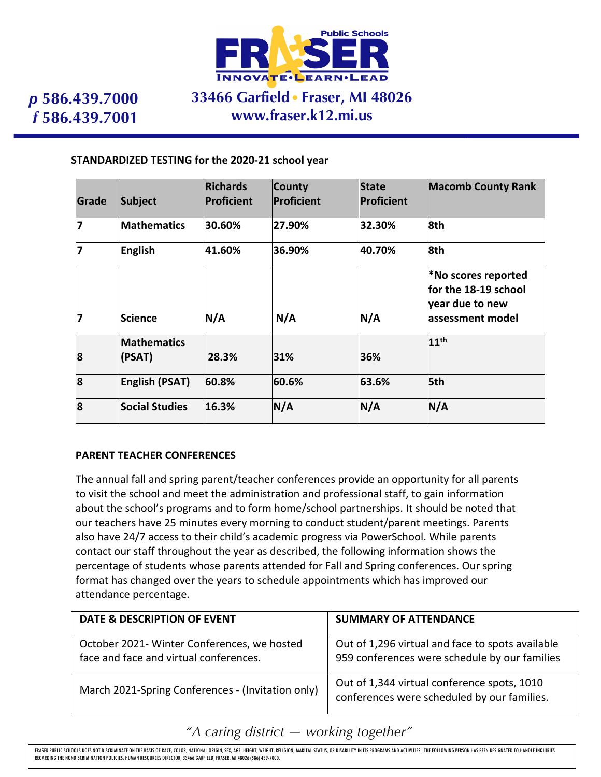

### **33466 Garfield Fraser, MI 48026 www.fraser.k12.mi.us**

### **STANDARDIZED TESTING for the 2020-21 school year**

| Grade | Subject                      | <b>Richards</b><br>Proficient | <b>County</b><br><b>Proficient</b> | <b>State</b><br>Proficient | <b>Macomb County Rank</b>                                                           |
|-------|------------------------------|-------------------------------|------------------------------------|----------------------------|-------------------------------------------------------------------------------------|
| 7     | <b>Mathematics</b>           | 30.60%                        | 27.90%                             | 32.30%                     | 8th                                                                                 |
| 17    | English                      | 41.60%                        | 36.90%                             | 40.70%                     | 8th                                                                                 |
| 17    | <b>Science</b>               | N/A                           | N/A                                | N/A                        | *No scores reported<br>for the 18-19 school<br>year due to new<br>lassessment model |
| 8     | <b>Mathematics</b><br>(PSAT) | 28.3%                         | 31%                                | 36%                        | 11 <sup>th</sup>                                                                    |
| 8     | <b>English (PSAT)</b>        | 60.8%                         | 60.6%                              | 63.6%                      | 5th                                                                                 |
| 8     | <b>Social Studies</b>        | 16.3%                         | N/A                                | N/A                        | N/A                                                                                 |

### **PARENT TEACHER CONFERENCES**

The annual fall and spring parent/teacher conferences provide an opportunity for all parents to visit the school and meet the administration and professional staff, to gain information about the school's programs and to form home/school partnerships. It should be noted that our teachers have 25 minutes every morning to conduct student/parent meetings. Parents also have 24/7 access to their child's academic progress via PowerSchool. While parents contact our staff throughout the year as described, the following information shows the percentage of students whose parents attended for Fall and Spring conferences. Our spring format has changed over the years to schedule appointments which has improved our attendance percentage.

| <b>DATE &amp; DESCRIPTION OF EVENT</b>                                                | <b>SUMMARY OF ATTENDANCE</b>                                                                      |
|---------------------------------------------------------------------------------------|---------------------------------------------------------------------------------------------------|
| October 2021- Winter Conferences, we hosted<br>face and face and virtual conferences. | Out of 1,296 virtual and face to spots available<br>959 conferences were schedule by our families |
| March 2021-Spring Conferences - (Invitation only)                                     | Out of 1,344 virtual conference spots, 1010<br>conferences were scheduled by our families.        |

*"A caring district — working together"*

FRASER PUBLIC SCHOOLS DOES NOT DISCRIMINATE ON THE BASIS OF RACE, COLOR, NATIONAL ORIGIN, SEX, AGE, HEIGHT, WEIGHT, RELIGION, MARITAL STATUS, OR DISABILITY IN ITS PROGRAMS AND ACTIVITIES. THE FOLLOWING PERSON HAS BEEN DESI REGARDING THE NONDISCRIMINATION POLICIES: HUMAN RESOURCES DIRECTOR, 33466 GARFIELD, FRASER, MI 48026 (586) 439-7000.